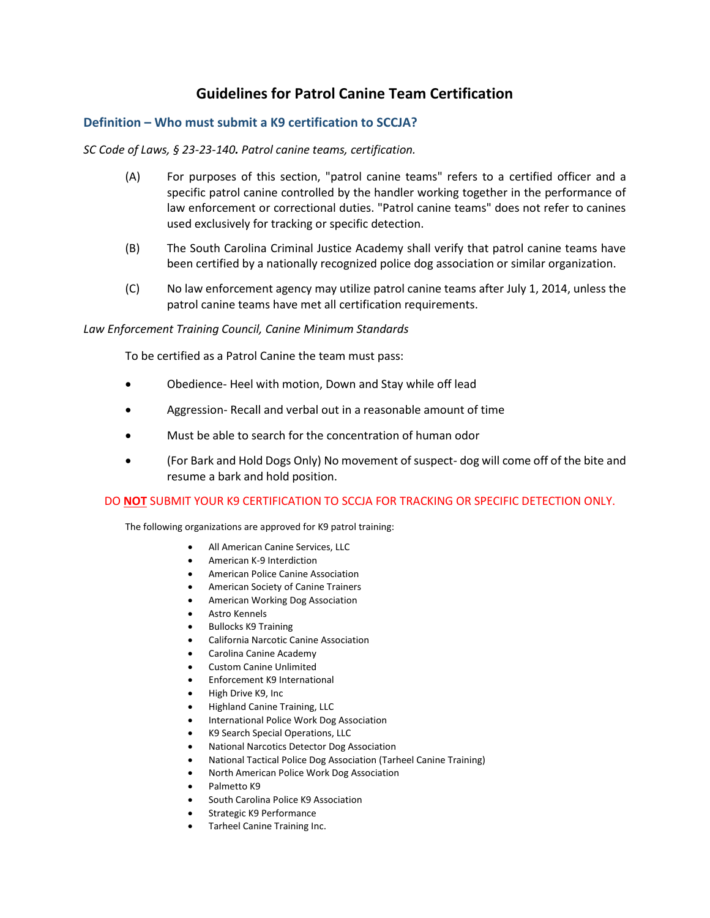# **Guidelines for Patrol Canine Team Certification**

## **Definition – Who must submit a K9 certification to SCCJA?**

### *SC Code of Laws, § 23-23-140. Patrol canine teams, certification.*

- (A) For purposes of this section, "patrol canine teams" refers to a certified officer and a specific patrol canine controlled by the handler working together in the performance of law enforcement or correctional duties. "Patrol canine teams" does not refer to canines used exclusively for tracking or specific detection.
- (B) The South Carolina Criminal Justice Academy shall verify that patrol canine teams have been certified by a nationally recognized police dog association or similar organization.
- (C) No law enforcement agency may utilize patrol canine teams after July 1, 2014, unless the patrol canine teams have met all certification requirements.

#### *Law Enforcement Training Council, Canine Minimum Standards*

To be certified as a Patrol Canine the team must pass:

- Obedience- Heel with motion, Down and Stay while off lead
- Aggression- Recall and verbal out in a reasonable amount of time
- Must be able to search for the concentration of human odor
- (For Bark and Hold Dogs Only) No movement of suspect- dog will come off of the bite and resume a bark and hold position.

#### DO **NOT** SUBMIT YOUR K9 CERTIFICATION TO SCCJA FOR TRACKING OR SPECIFIC DETECTION ONLY.

The following organizations are approved for K9 patrol training:

- All American Canine Services, LLC
- American K-9 Interdiction
- American Police Canine Association
- American Society of Canine Trainers
- American Working Dog Association
- Astro Kennels
- Bullocks K9 Training
- California Narcotic Canine Association
- Carolina Canine Academy
- Custom Canine Unlimited
- Enforcement K9 International
- High Drive K9, Inc
- Highland Canine Training, LLC
- International Police Work Dog Association
- K9 Search Special Operations, LLC
- National Narcotics Detector Dog Association
- National Tactical Police Dog Association (Tarheel Canine Training)
- North American Police Work Dog Association
- Palmetto K9
- South Carolina Police K9 Association
- Strategic K9 Performance
- Tarheel Canine Training Inc.